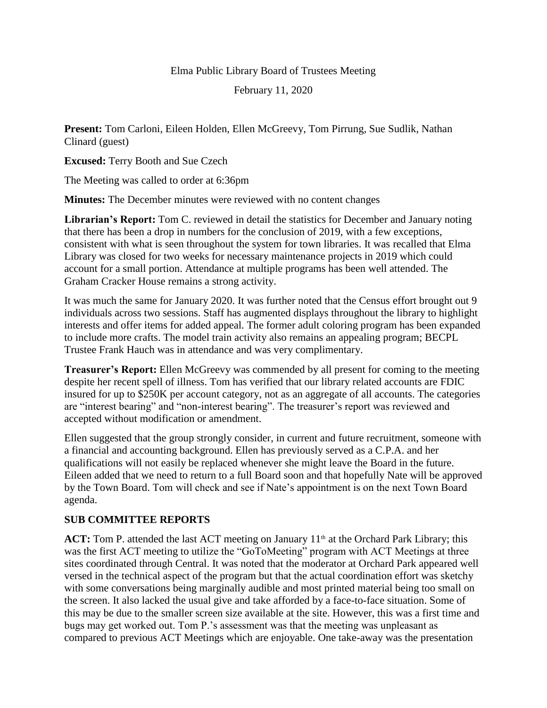## Elma Public Library Board of Trustees Meeting

February 11, 2020

**Present:** Tom Carloni, Eileen Holden, Ellen McGreevy, Tom Pirrung, Sue Sudlik, Nathan Clinard (guest)

**Excused:** Terry Booth and Sue Czech

The Meeting was called to order at 6:36pm

**Minutes:** The December minutes were reviewed with no content changes

**Librarian's Report:** Tom C. reviewed in detail the statistics for December and January noting that there has been a drop in numbers for the conclusion of 2019, with a few exceptions, consistent with what is seen throughout the system for town libraries. It was recalled that Elma Library was closed for two weeks for necessary maintenance projects in 2019 which could account for a small portion. Attendance at multiple programs has been well attended. The Graham Cracker House remains a strong activity.

It was much the same for January 2020. It was further noted that the Census effort brought out 9 individuals across two sessions. Staff has augmented displays throughout the library to highlight interests and offer items for added appeal. The former adult coloring program has been expanded to include more crafts. The model train activity also remains an appealing program; BECPL Trustee Frank Hauch was in attendance and was very complimentary.

**Treasurer's Report:** Ellen McGreevy was commended by all present for coming to the meeting despite her recent spell of illness. Tom has verified that our library related accounts are FDIC insured for up to \$250K per account category, not as an aggregate of all accounts. The categories are "interest bearing" and "non-interest bearing". The treasurer's report was reviewed and accepted without modification or amendment.

Ellen suggested that the group strongly consider, in current and future recruitment, someone with a financial and accounting background. Ellen has previously served as a C.P.A. and her qualifications will not easily be replaced whenever she might leave the Board in the future. Eileen added that we need to return to a full Board soon and that hopefully Nate will be approved by the Town Board. Tom will check and see if Nate's appointment is on the next Town Board agenda.

## **SUB COMMITTEE REPORTS**

ACT: Tom P. attended the last ACT meeting on January 11<sup>th</sup> at the Orchard Park Library; this was the first ACT meeting to utilize the "GoToMeeting" program with ACT Meetings at three sites coordinated through Central. It was noted that the moderator at Orchard Park appeared well versed in the technical aspect of the program but that the actual coordination effort was sketchy with some conversations being marginally audible and most printed material being too small on the screen. It also lacked the usual give and take afforded by a face-to-face situation. Some of this may be due to the smaller screen size available at the site. However, this was a first time and bugs may get worked out. Tom P.'s assessment was that the meeting was unpleasant as compared to previous ACT Meetings which are enjoyable. One take-away was the presentation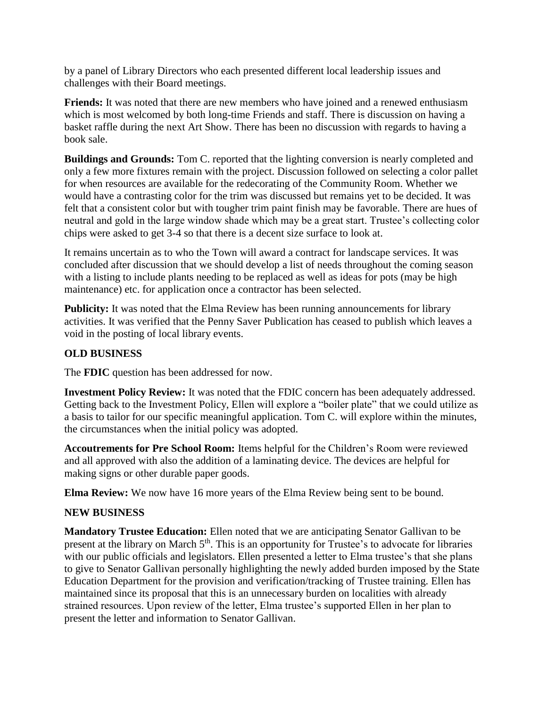by a panel of Library Directors who each presented different local leadership issues and challenges with their Board meetings.

**Friends:** It was noted that there are new members who have joined and a renewed enthusiasm which is most welcomed by both long-time Friends and staff. There is discussion on having a basket raffle during the next Art Show. There has been no discussion with regards to having a book sale.

**Buildings and Grounds:** Tom C. reported that the lighting conversion is nearly completed and only a few more fixtures remain with the project. Discussion followed on selecting a color pallet for when resources are available for the redecorating of the Community Room. Whether we would have a contrasting color for the trim was discussed but remains yet to be decided. It was felt that a consistent color but with tougher trim paint finish may be favorable. There are hues of neutral and gold in the large window shade which may be a great start. Trustee's collecting color chips were asked to get 3-4 so that there is a decent size surface to look at.

It remains uncertain as to who the Town will award a contract for landscape services. It was concluded after discussion that we should develop a list of needs throughout the coming season with a listing to include plants needing to be replaced as well as ideas for pots (may be high maintenance) etc. for application once a contractor has been selected.

**Publicity:** It was noted that the Elma Review has been running announcements for library activities. It was verified that the Penny Saver Publication has ceased to publish which leaves a void in the posting of local library events.

## **OLD BUSINESS**

The **FDIC** question has been addressed for now.

**Investment Policy Review:** It was noted that the FDIC concern has been adequately addressed. Getting back to the Investment Policy, Ellen will explore a "boiler plate" that we could utilize as a basis to tailor for our specific meaningful application. Tom C. will explore within the minutes, the circumstances when the initial policy was adopted.

**Accoutrements for Pre School Room:** Items helpful for the Children's Room were reviewed and all approved with also the addition of a laminating device. The devices are helpful for making signs or other durable paper goods.

**Elma Review:** We now have 16 more years of the Elma Review being sent to be bound.

## **NEW BUSINESS**

**Mandatory Trustee Education:** Ellen noted that we are anticipating Senator Gallivan to be present at the library on March 5<sup>th</sup>. This is an opportunity for Trustee's to advocate for libraries with our public officials and legislators. Ellen presented a letter to Elma trustee's that she plans to give to Senator Gallivan personally highlighting the newly added burden imposed by the State Education Department for the provision and verification/tracking of Trustee training. Ellen has maintained since its proposal that this is an unnecessary burden on localities with already strained resources. Upon review of the letter, Elma trustee's supported Ellen in her plan to present the letter and information to Senator Gallivan.